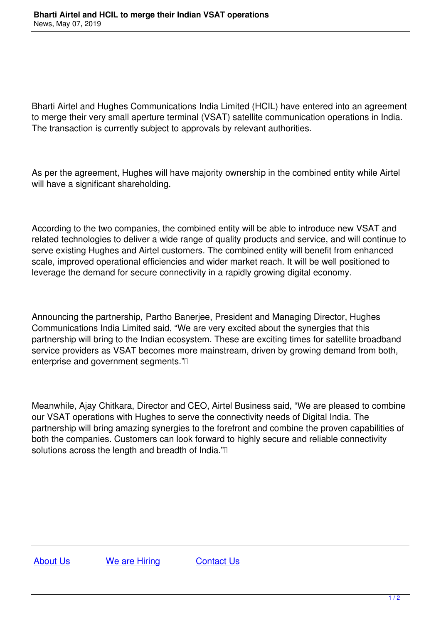Bharti Airtel and Hughes Communications India Limited (HCIL) have entered into an agreement to merge their very small aperture terminal (VSAT) satellite communication operations in India. The transaction is currently subject to approvals by relevant authorities.

As per the agreement, Hughes will have majority ownership in the combined entity while Airtel will have a significant shareholding.

According to the two companies, the combined entity will be able to introduce new VSAT and related technologies to deliver a wide range of quality products and service, and will continue to serve existing Hughes and Airtel customers. The combined entity will benefit from enhanced scale, improved operational efficiencies and wider market reach. It will be well positioned to leverage the demand for secure connectivity in a rapidly growing digital economy.

Announcing the partnership, Partho Banerjee, President and Managing Director, Hughes Communications India Limited said, "We are very excited about the synergies that this partnership will bring to the Indian ecosystem. These are exciting times for satellite broadband service providers as VSAT becomes more mainstream, driven by growing demand from both, enterprise and government segments."

Meanwhile, Ajay Chitkara, Director and CEO, Airtel Business said, "We are pleased to combine our VSAT operations with Hughes to serve the connectivity needs of Digital India. The partnership will bring amazing synergies to the forefront and combine the proven capabilities of both the companies. Customers can look forward to highly secure and reliable connectivity solutions across the length and breadth of India."

About Us We are Hiring Contact Us